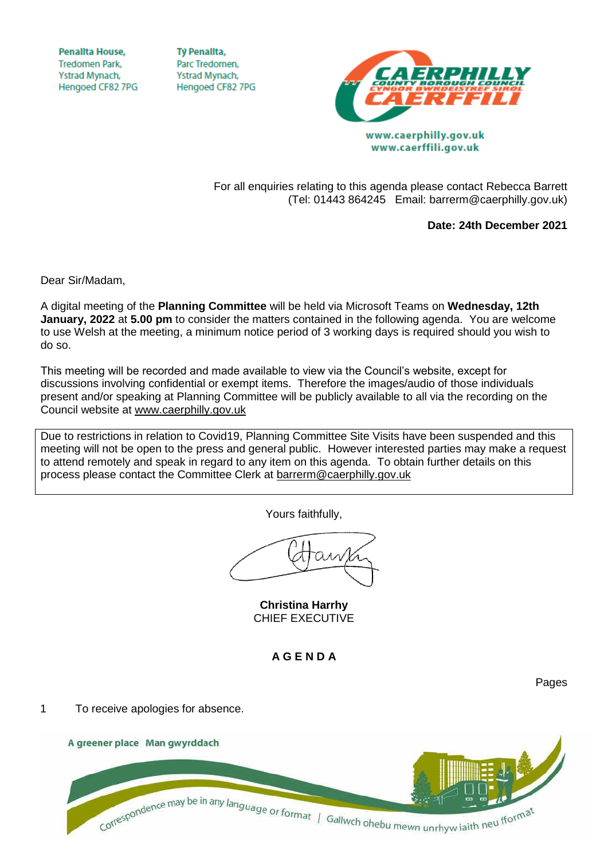**Penallta House, Tredomen Park.** Ystrad Mynach, Hengoed CF82 7PG

**TV Penallta,** Parc Tredomen. Ystrad Mynach, Hengoed CF82 7PG



www.caerffili.gov.uk

For all enquiries relating to this agenda please contact Rebecca Barrett (Tel: 01443 864245 Email: barrerm@caerphilly.gov.uk)

**Date: 24th December 2021**

Pages

Dear Sir/Madam,

A digital meeting of the **Planning Committee** will be held via Microsoft Teams on **Wednesday, 12th January, 2022** at **5.00 pm** to consider the matters contained in the following agenda. You are welcome to use Welsh at the meeting, a minimum notice period of 3 working days is required should you wish to do so.

This meeting will be recorded and made available to view via the Council's website, except for discussions involving confidential or exempt items. Therefore the images/audio of those individuals present and/or speaking at Planning Committee will be publicly available to all via the recording on the Council website at [www.caerphilly.gov.uk](http://www.caerphilly.gov.uk/)

Due to restrictions in relation to Covid19, Planning Committee Site Visits have been suspended and this meeting will not be open to the press and general public. However interested parties may make a request to attend remotely and speak in regard to any item on this agenda. To obtain further details on this process please contact the Committee Clerk at [barrerm@caerphilly.gov.uk](mailto:barrerm@caerphilly.gov.uk)

Yours faithfully,

**Christina Harrhy** CHIEF EXECUTIVE

**A G E N D A**

1 To receive apologies for absence.